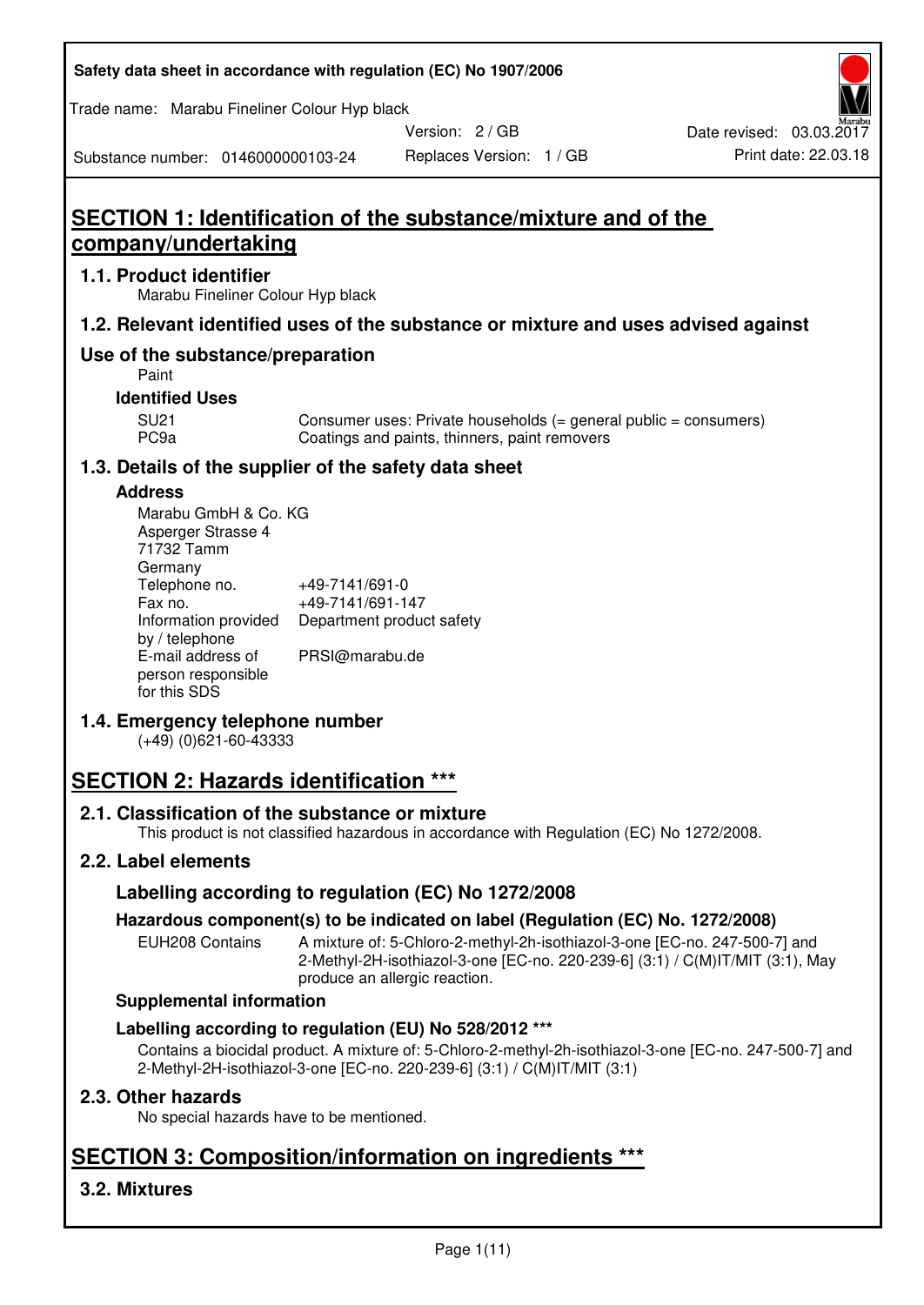| Safety data sheet in accordance with regulation (EC) No 1907/2006 |  |
|-------------------------------------------------------------------|--|
|-------------------------------------------------------------------|--|

Trade name: Marabu Fineliner Colour Hyp black

Version: 2 / GB

Replaces Version: 1 / GB Print date: 22.03.18 Date revised: 03.03.2017

Substance number: 0146000000103-24

# **SECTION 1: Identification of the substance/mixture and of the company/undertaking**

#### **1.1. Product identifier**

Marabu Fineliner Colour Hyp black

#### **1.2. Relevant identified uses of the substance or mixture and uses advised against**

## **Use of the substance/preparation**

Paint

#### **Identified Uses**

SU21 Consumer uses: Private households (= general public = consumers)<br>PC9a Coatings and paints, thinners, paint removers Coatings and paints, thinners, paint removers

#### **1.3. Details of the supplier of the safety data sheet**

#### **Address**

| Marabu GmbH & Co. KG |                           |
|----------------------|---------------------------|
| Asperger Strasse 4   |                           |
| 71732 Tamm           |                           |
| Germany              |                           |
| Telephone no.        | +49-7141/691-0            |
| Fax no.              | +49-7141/691-147          |
| Information provided | Department product safety |
| by / telephone       |                           |
| E-mail address of    | PRSI@marabu.de            |
| person responsible   |                           |
| for this SDS         |                           |

#### **1.4. Emergency telephone number**

(+49) (0)621-60-43333

# **SECTION 2: Hazards identification \*\*\***

#### **2.1. Classification of the substance or mixture**

This product is not classified hazardous in accordance with Regulation (EC) No 1272/2008.

## **2.2. Label elements**

#### **Labelling according to regulation (EC) No 1272/2008**

#### **Hazardous component(s) to be indicated on label (Regulation (EC) No. 1272/2008)**

EUH208 Contains A mixture of: 5-Chloro-2-methyl-2h-isothiazol-3-one [EC-no. 247-500-7] and 2-Methyl-2H-isothiazol-3-one [EC-no. 220-239-6] (3:1) / C(M)IT/MIT (3:1), May produce an allergic reaction.

#### **Supplemental information**

#### **Labelling according to regulation (EU) No 528/2012 \*\*\***

Contains a biocidal product. A mixture of: 5-Chloro-2-methyl-2h-isothiazol-3-one [EC-no. 247-500-7] and 2-Methyl-2H-isothiazol-3-one [EC-no. 220-239-6] (3:1) / C(M)IT/MIT (3:1)

#### **2.3. Other hazards**

No special hazards have to be mentioned.

# **SECTION 3: Composition/information on ingredients \*\*\***

## **3.2. Mixtures**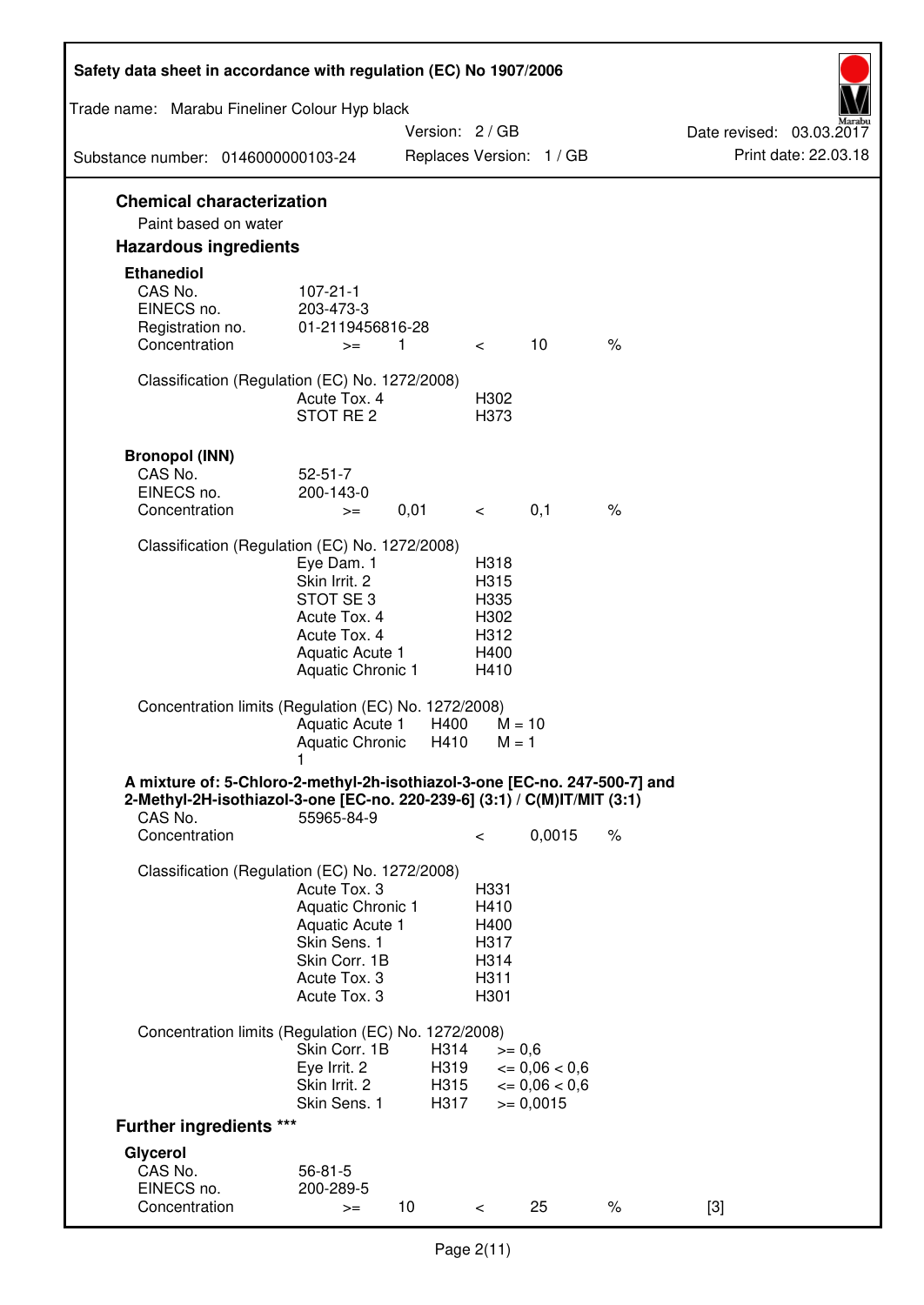| Safety data sheet in accordance with regulation (EC) No 1907/2006                                                                                      |                                                                         |                 |                              |                                       |      |                                                  |
|--------------------------------------------------------------------------------------------------------------------------------------------------------|-------------------------------------------------------------------------|-----------------|------------------------------|---------------------------------------|------|--------------------------------------------------|
| Trade name: Marabu Fineliner Colour Hyp black                                                                                                          |                                                                         |                 |                              |                                       |      |                                                  |
| Substance number: 0146000000103-24                                                                                                                     |                                                                         | Version: 2 / GB |                              | Replaces Version: 1 / GB              |      | Date revised: 03.03.2017<br>Print date: 22.03.18 |
| <b>Chemical characterization</b>                                                                                                                       |                                                                         |                 |                              |                                       |      |                                                  |
| Paint based on water                                                                                                                                   |                                                                         |                 |                              |                                       |      |                                                  |
| <b>Hazardous ingredients</b>                                                                                                                           |                                                                         |                 |                              |                                       |      |                                                  |
| <b>Ethanediol</b><br>CAS No.<br>EINECS no.<br>Registration no.                                                                                         | $107 - 21 - 1$<br>203-473-3<br>01-2119456816-28                         |                 |                              |                                       |      |                                                  |
| Concentration                                                                                                                                          | $>=$                                                                    | 1               | $\lt$                        | 10                                    | $\%$ |                                                  |
| Classification (Regulation (EC) No. 1272/2008)                                                                                                         | Acute Tox, 4<br>STOT RE <sub>2</sub>                                    |                 | H302<br>H373                 |                                       |      |                                                  |
| <b>Bronopol (INN)</b><br>CAS No.<br>EINECS no.                                                                                                         | $52 - 51 - 7$<br>200-143-0                                              |                 |                              |                                       |      |                                                  |
| Concentration                                                                                                                                          | $>=$                                                                    | 0,01            | $\lt$                        | 0,1                                   | $\%$ |                                                  |
| Classification (Regulation (EC) No. 1272/2008)                                                                                                         | Eye Dam. 1<br>Skin Irrit. 2                                             |                 | H318<br>H315                 |                                       |      |                                                  |
|                                                                                                                                                        | STOT SE <sub>3</sub><br>Acute Tox. 4<br>Acute Tox. 4<br>Aquatic Acute 1 |                 | H335<br>H302<br>H312<br>H400 |                                       |      |                                                  |
|                                                                                                                                                        | Aquatic Chronic 1                                                       |                 | H410                         |                                       |      |                                                  |
| Concentration limits (Regulation (EC) No. 1272/2008)                                                                                                   | Aquatic Acute 1<br><b>Aquatic Chronic</b>                               | H400<br>H410    | $M = 1$                      | $M = 10$                              |      |                                                  |
| A mixture of: 5-Chloro-2-methyl-2h-isothiazol-3-one [EC-no. 247-500-7] and<br>2-Methyl-2H-isothiazol-3-one [EC-no. 220-239-6] (3:1) / C(M)IT/MIT (3:1) | 1                                                                       |                 |                              |                                       |      |                                                  |
| CAS No.<br>Concentration                                                                                                                               | 55965-84-9                                                              |                 | $\,<\,$                      | 0,0015                                | $\%$ |                                                  |
| Classification (Regulation (EC) No. 1272/2008)                                                                                                         | Acute Tox. 3                                                            |                 | H331                         |                                       |      |                                                  |
|                                                                                                                                                        | Aquatic Chronic 1<br>Aquatic Acute 1<br>Skin Sens. 1<br>Skin Corr. 1B   |                 | H410<br>H400<br>H317<br>H314 |                                       |      |                                                  |
|                                                                                                                                                        | Acute Tox. 3<br>Acute Tox. 3                                            |                 | H311<br>H301                 |                                       |      |                                                  |
| Concentration limits (Regulation (EC) No. 1272/2008)                                                                                                   |                                                                         |                 |                              |                                       |      |                                                  |
|                                                                                                                                                        | Skin Corr. 1B<br>Eye Irrit. 2                                           | H314<br>H319    | $>= 0,6$                     | $= 0,06 < 0,6$                        |      |                                                  |
|                                                                                                                                                        | Skin Irrit. 2<br>Skin Sens. 1                                           | H315<br>H317    |                              | $\epsilon = 0.06 < 0.6$<br>$= 0,0015$ |      |                                                  |
| <b>Further ingredients ***</b>                                                                                                                         |                                                                         |                 |                              |                                       |      |                                                  |
| Glycerol                                                                                                                                               |                                                                         |                 |                              |                                       |      |                                                  |
| CAS No.                                                                                                                                                | $56 - 81 - 5$                                                           |                 |                              |                                       |      |                                                  |
| EINECS no.<br>Concentration                                                                                                                            | 200-289-5<br>$>=$                                                       | 10              | $\,<\,$                      | 25                                    | $\%$ | $[3]$                                            |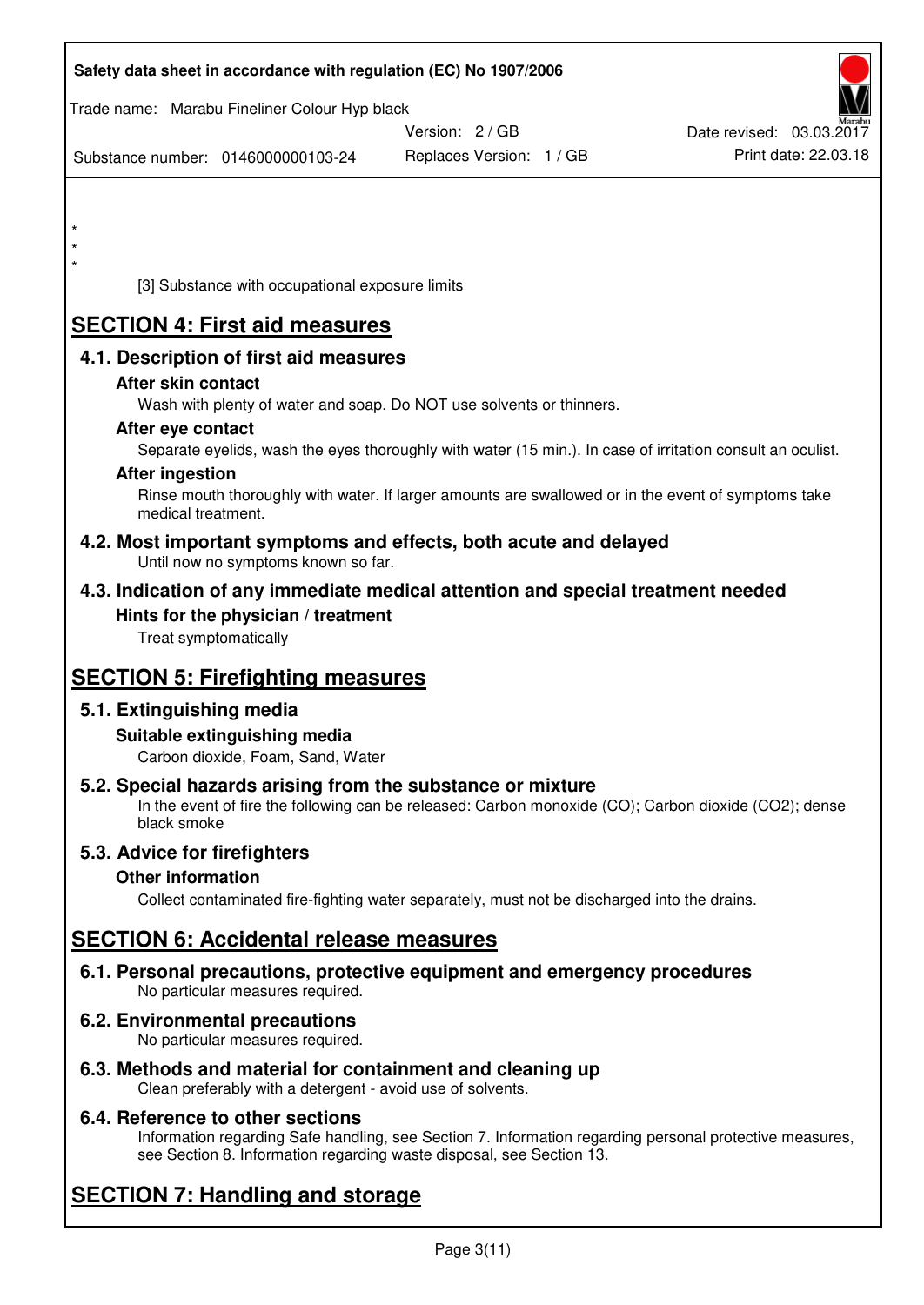| Safety data sheet in accordance with regulation (EC) No 1907/2006                                                       |                                                                                                            |                          |
|-------------------------------------------------------------------------------------------------------------------------|------------------------------------------------------------------------------------------------------------|--------------------------|
| Trade name: Marabu Fineliner Colour Hyp black                                                                           | Version: 2 / GB                                                                                            | Date revised: 03.03.2017 |
| Substance number: 0146000000103-24                                                                                      | Replaces Version: 1 / GB                                                                                   | Print date: 22.03.18     |
|                                                                                                                         |                                                                                                            |                          |
| $\star$                                                                                                                 |                                                                                                            |                          |
| $\star$<br>$\star$                                                                                                      |                                                                                                            |                          |
| [3] Substance with occupational exposure limits                                                                         |                                                                                                            |                          |
| <b>SECTION 4: First aid measures</b>                                                                                    |                                                                                                            |                          |
| 4.1. Description of first aid measures                                                                                  |                                                                                                            |                          |
| After skin contact                                                                                                      |                                                                                                            |                          |
| Wash with plenty of water and soap. Do NOT use solvents or thinners.<br>After eye contact                               |                                                                                                            |                          |
|                                                                                                                         | Separate eyelids, wash the eyes thoroughly with water (15 min.). In case of irritation consult an oculist. |                          |
| <b>After ingestion</b>                                                                                                  |                                                                                                            |                          |
| medical treatment.                                                                                                      | Rinse mouth thoroughly with water. If larger amounts are swallowed or in the event of symptoms take        |                          |
| 4.2. Most important symptoms and effects, both acute and delayed<br>Until now no symptoms known so far.                 |                                                                                                            |                          |
| 4.3. Indication of any immediate medical attention and special treatment needed                                         |                                                                                                            |                          |
| Hints for the physician / treatment<br>Treat symptomatically                                                            |                                                                                                            |                          |
| <b>SECTION 5: Firefighting measures</b>                                                                                 |                                                                                                            |                          |
| 5.1. Extinguishing media                                                                                                |                                                                                                            |                          |
| Suitable extinguishing media<br>Carbon dioxide, Foam, Sand, Water                                                       |                                                                                                            |                          |
| 5.2. Special hazards arising from the substance or mixture<br>black smoke                                               | In the event of fire the following can be released: Carbon monoxide (CO); Carbon dioxide (CO2); dense      |                          |
| 5.3. Advice for firefighters                                                                                            |                                                                                                            |                          |
| <b>Other information</b>                                                                                                |                                                                                                            |                          |
|                                                                                                                         | Collect contaminated fire-fighting water separately, must not be discharged into the drains.               |                          |
| <b>SECTION 6: Accidental release measures</b>                                                                           |                                                                                                            |                          |
| 6.1. Personal precautions, protective equipment and emergency procedures<br>No particular measures required.            |                                                                                                            |                          |
| 6.2. Environmental precautions<br>No particular measures required.                                                      |                                                                                                            |                          |
| 6.3. Methods and material for containment and cleaning up<br>Clean preferably with a detergent - avoid use of solvents. |                                                                                                            |                          |

### **6.4. Reference to other sections**

Information regarding Safe handling, see Section 7. Information regarding personal protective measures, see Section 8. Information regarding waste disposal, see Section 13.

# **SECTION 7: Handling and storage**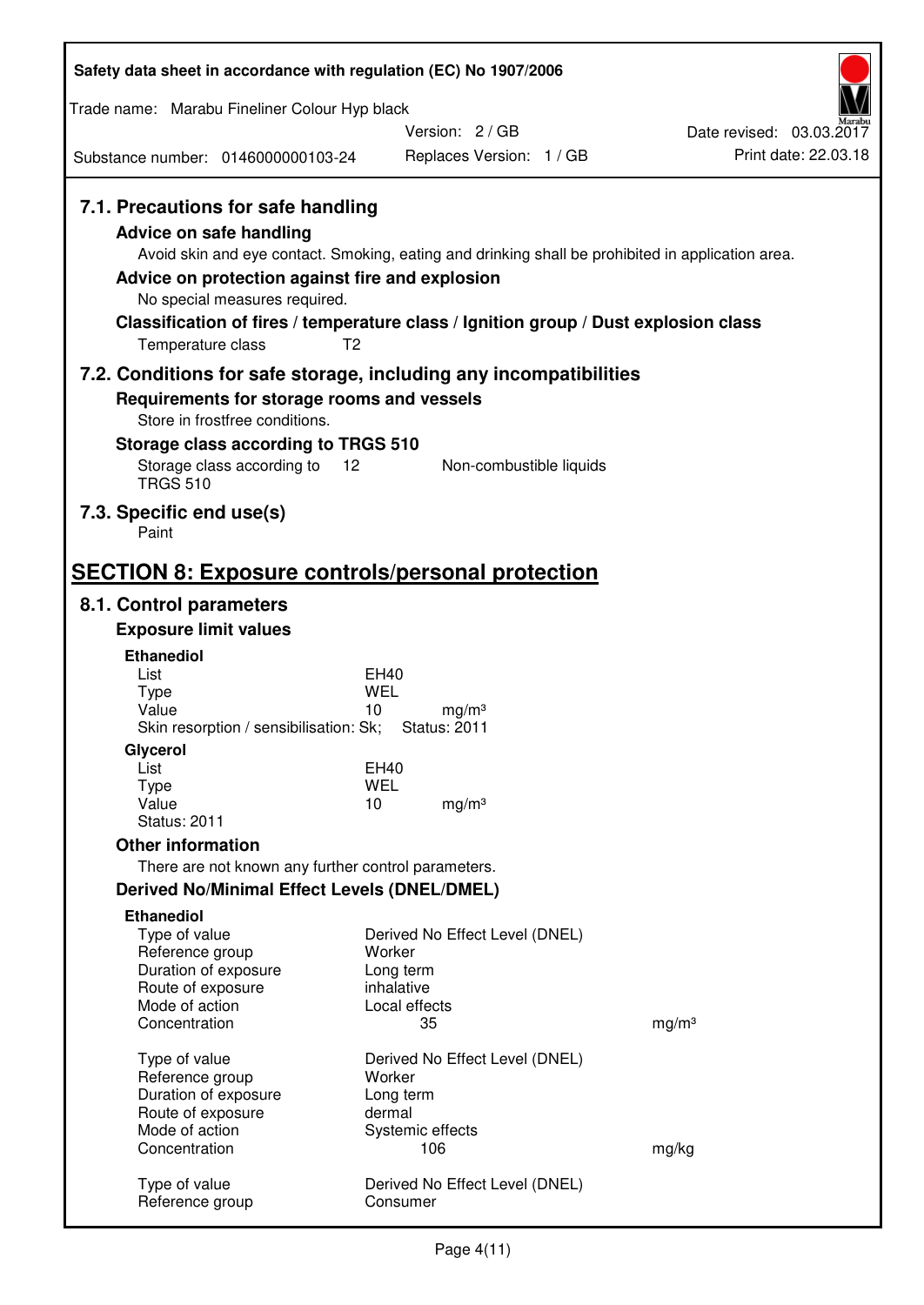| Safety data sheet in accordance with regulation (EC) No 1907/2006                                                                                                      |                                                                                                                                                                                                            |                          |  |  |  |
|------------------------------------------------------------------------------------------------------------------------------------------------------------------------|------------------------------------------------------------------------------------------------------------------------------------------------------------------------------------------------------------|--------------------------|--|--|--|
| Trade name: Marabu Fineliner Colour Hyp black                                                                                                                          |                                                                                                                                                                                                            |                          |  |  |  |
|                                                                                                                                                                        | Version: 2/GB                                                                                                                                                                                              | Date revised: 03.03.2017 |  |  |  |
| Substance number: 0146000000103-24                                                                                                                                     | Replaces Version: 1 / GB                                                                                                                                                                                   | Print date: 22.03.18     |  |  |  |
| 7.1. Precautions for safe handling<br>Advice on safe handling<br>Advice on protection against fire and explosion<br>No special measures required.<br>Temperature class | Avoid skin and eye contact. Smoking, eating and drinking shall be prohibited in application area.<br>Classification of fires / temperature class / Ignition group / Dust explosion class<br>T <sub>2</sub> |                          |  |  |  |
|                                                                                                                                                                        | 7.2. Conditions for safe storage, including any incompatibilities                                                                                                                                          |                          |  |  |  |
| Requirements for storage rooms and vessels<br>Store in frostfree conditions.                                                                                           |                                                                                                                                                                                                            |                          |  |  |  |
| Storage class according to TRGS 510                                                                                                                                    |                                                                                                                                                                                                            |                          |  |  |  |
| Storage class according to<br><b>TRGS 510</b>                                                                                                                          | 12<br>Non-combustible liquids                                                                                                                                                                              |                          |  |  |  |
| 7.3. Specific end use(s)<br>Paint                                                                                                                                      |                                                                                                                                                                                                            |                          |  |  |  |
|                                                                                                                                                                        | <b>SECTION 8: Exposure controls/personal protection</b>                                                                                                                                                    |                          |  |  |  |
| 8.1. Control parameters                                                                                                                                                |                                                                                                                                                                                                            |                          |  |  |  |
| <b>Exposure limit values</b>                                                                                                                                           |                                                                                                                                                                                                            |                          |  |  |  |
| <b>Ethanediol</b><br>List                                                                                                                                              | EH40                                                                                                                                                                                                       |                          |  |  |  |
| <b>Type</b>                                                                                                                                                            | <b>WEL</b>                                                                                                                                                                                                 |                          |  |  |  |
| Value<br>Skin resorption / sensibilisation: Sk;                                                                                                                        | 10<br>mg/m <sup>3</sup><br><b>Status: 2011</b>                                                                                                                                                             |                          |  |  |  |
| Glycerol                                                                                                                                                               |                                                                                                                                                                                                            |                          |  |  |  |
| List<br><b>Type</b>                                                                                                                                                    | EH40<br><b>WEL</b>                                                                                                                                                                                         |                          |  |  |  |
| Value                                                                                                                                                                  | 10<br>mg/m <sup>3</sup>                                                                                                                                                                                    |                          |  |  |  |
| <b>Status: 2011</b>                                                                                                                                                    |                                                                                                                                                                                                            |                          |  |  |  |
| <b>Other information</b>                                                                                                                                               |                                                                                                                                                                                                            |                          |  |  |  |
| There are not known any further control parameters.<br><b>Derived No/Minimal Effect Levels (DNEL/DMEL)</b>                                                             |                                                                                                                                                                                                            |                          |  |  |  |
| <b>Ethanediol</b>                                                                                                                                                      |                                                                                                                                                                                                            |                          |  |  |  |
| Type of value                                                                                                                                                          | Derived No Effect Level (DNEL)                                                                                                                                                                             |                          |  |  |  |
| Reference group                                                                                                                                                        | Worker                                                                                                                                                                                                     |                          |  |  |  |
| Duration of exposure<br>Route of exposure                                                                                                                              | Long term<br>inhalative                                                                                                                                                                                    |                          |  |  |  |
| Mode of action                                                                                                                                                         | Local effects                                                                                                                                                                                              |                          |  |  |  |
| Concentration                                                                                                                                                          | 35                                                                                                                                                                                                         | mg/m <sup>3</sup>        |  |  |  |
| Type of value                                                                                                                                                          | Derived No Effect Level (DNEL)                                                                                                                                                                             |                          |  |  |  |
| Reference group<br>Duration of exposure                                                                                                                                | Worker<br>Long term                                                                                                                                                                                        |                          |  |  |  |
| Route of exposure                                                                                                                                                      | dermal                                                                                                                                                                                                     |                          |  |  |  |
| Mode of action<br>Concentration                                                                                                                                        | Systemic effects<br>106                                                                                                                                                                                    |                          |  |  |  |
|                                                                                                                                                                        |                                                                                                                                                                                                            | mg/kg                    |  |  |  |
| Type of value<br>Reference group                                                                                                                                       | Derived No Effect Level (DNEL)<br>Consumer                                                                                                                                                                 |                          |  |  |  |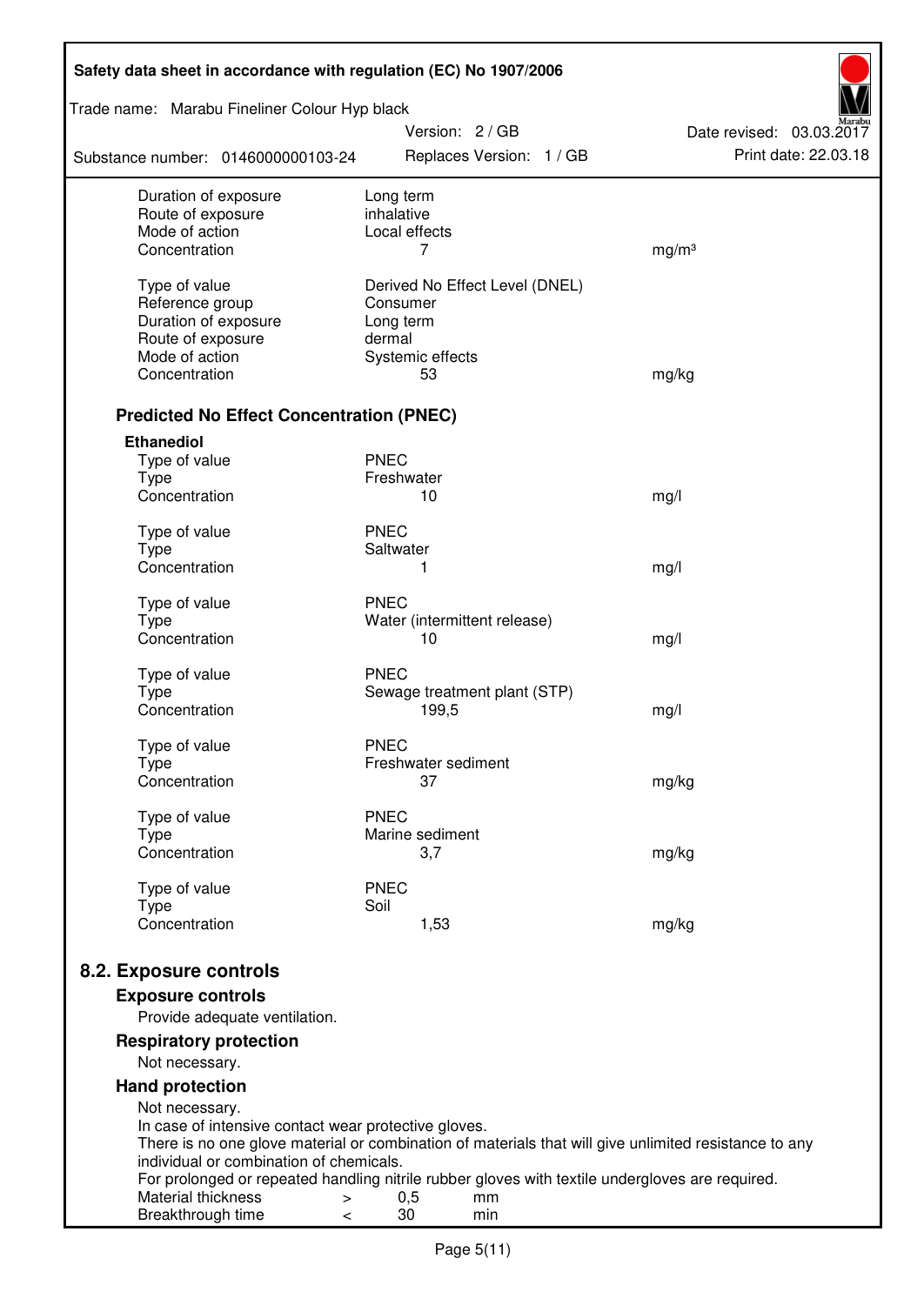| Safety data sheet in accordance with regulation (EC) No 1907/2006 |                                                                                                       |                          |  |  |
|-------------------------------------------------------------------|-------------------------------------------------------------------------------------------------------|--------------------------|--|--|
| Trade name: Marabu Fineliner Colour Hyp black                     | Version: 2 / GB                                                                                       | Date revised: 03.03.2017 |  |  |
| Substance number: 0146000000103-24                                | Replaces Version: 1 / GB                                                                              | Print date: 22.03.18     |  |  |
| Duration of exposure<br>Route of exposure                         | Long term<br>inhalative                                                                               |                          |  |  |
| Mode of action                                                    | Local effects                                                                                         |                          |  |  |
| Concentration                                                     | 7                                                                                                     | mg/m <sup>3</sup>        |  |  |
| Type of value                                                     | Derived No Effect Level (DNEL)                                                                        |                          |  |  |
| Reference group                                                   | Consumer                                                                                              |                          |  |  |
| Duration of exposure                                              | Long term                                                                                             |                          |  |  |
| Route of exposure                                                 | dermal                                                                                                |                          |  |  |
| Mode of action                                                    | Systemic effects                                                                                      |                          |  |  |
| Concentration                                                     | 53                                                                                                    | mg/kg                    |  |  |
| <b>Predicted No Effect Concentration (PNEC)</b>                   |                                                                                                       |                          |  |  |
| <b>Ethanediol</b>                                                 |                                                                                                       |                          |  |  |
| Type of value                                                     | <b>PNEC</b>                                                                                           |                          |  |  |
| <b>Type</b>                                                       | Freshwater                                                                                            |                          |  |  |
| Concentration                                                     | 10                                                                                                    | mg/l                     |  |  |
| Type of value                                                     | <b>PNEC</b>                                                                                           |                          |  |  |
| <b>Type</b>                                                       | Saltwater                                                                                             |                          |  |  |
| Concentration                                                     | 1                                                                                                     | mg/l                     |  |  |
| Type of value                                                     | <b>PNEC</b>                                                                                           |                          |  |  |
| <b>Type</b>                                                       | Water (intermittent release)                                                                          |                          |  |  |
| Concentration                                                     | 10                                                                                                    | mg/l                     |  |  |
| Type of value                                                     | <b>PNEC</b>                                                                                           |                          |  |  |
| <b>Type</b>                                                       | Sewage treatment plant (STP)                                                                          |                          |  |  |
| Concentration                                                     | 199,5                                                                                                 | mg/l                     |  |  |
| Type of value                                                     | <b>PNEC</b>                                                                                           |                          |  |  |
| Type                                                              | Freshwater sediment                                                                                   |                          |  |  |
| Concentration                                                     | 37                                                                                                    | mg/kg                    |  |  |
| Type of value                                                     | <b>PNEC</b>                                                                                           |                          |  |  |
| Type                                                              | Marine sediment                                                                                       |                          |  |  |
| Concentration                                                     | 3,7                                                                                                   | mg/kg                    |  |  |
| Type of value                                                     | <b>PNEC</b>                                                                                           |                          |  |  |
| <b>Type</b>                                                       | Soil                                                                                                  |                          |  |  |
| Concentration                                                     | 1,53                                                                                                  | mg/kg                    |  |  |
| 8.2. Exposure controls                                            |                                                                                                       |                          |  |  |
| <b>Exposure controls</b>                                          |                                                                                                       |                          |  |  |
| Provide adequate ventilation.                                     |                                                                                                       |                          |  |  |
| <b>Respiratory protection</b>                                     |                                                                                                       |                          |  |  |
| Not necessary.                                                    |                                                                                                       |                          |  |  |
| <b>Hand protection</b>                                            |                                                                                                       |                          |  |  |
| Not necessary.                                                    |                                                                                                       |                          |  |  |
| In case of intensive contact wear protective gloves.              | There is no one glove material or combination of materials that will give unlimited resistance to any |                          |  |  |
| individual or combination of chemicals.                           |                                                                                                       |                          |  |  |
|                                                                   | For prolonged or repeated handling nitrile rubber gloves with textile undergloves are required.       |                          |  |  |
| Material thickness<br>$\, > \,$                                   | 0,5<br>mm                                                                                             |                          |  |  |
| Breakthrough time<br>$\,<\,$                                      | 30<br>min                                                                                             |                          |  |  |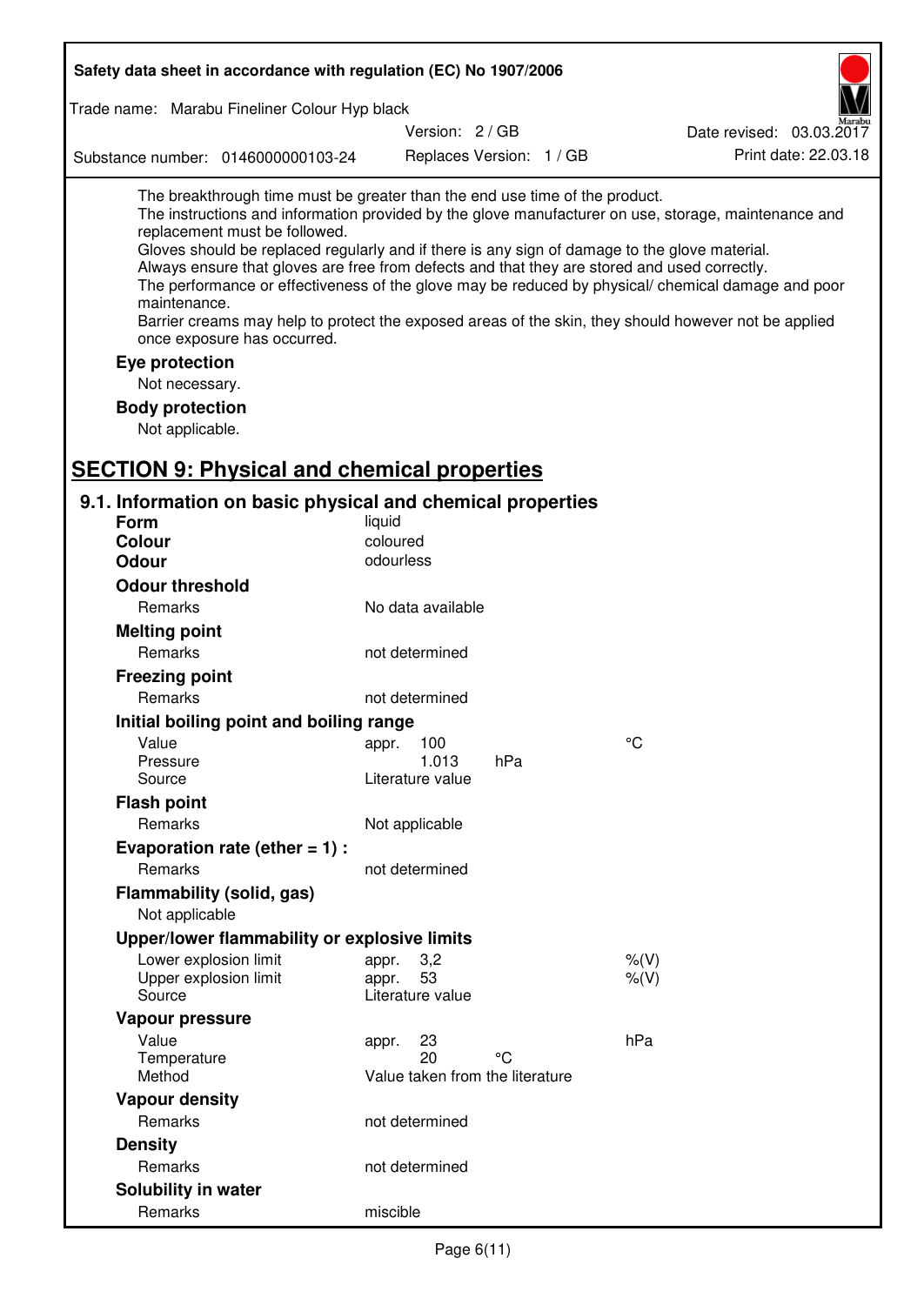| Safety data sheet in accordance with regulation (EC) No 1907/2006                                                                                                                                                                                                                                                                                                                                                                                                                                                                                                                                                                                                                                    |                                                      |                          |                 |                          |                      |
|------------------------------------------------------------------------------------------------------------------------------------------------------------------------------------------------------------------------------------------------------------------------------------------------------------------------------------------------------------------------------------------------------------------------------------------------------------------------------------------------------------------------------------------------------------------------------------------------------------------------------------------------------------------------------------------------------|------------------------------------------------------|--------------------------|-----------------|--------------------------|----------------------|
| Trade name: Marabu Fineliner Colour Hyp black                                                                                                                                                                                                                                                                                                                                                                                                                                                                                                                                                                                                                                                        |                                                      |                          |                 |                          |                      |
|                                                                                                                                                                                                                                                                                                                                                                                                                                                                                                                                                                                                                                                                                                      | Version: 2 / GB                                      |                          |                 | Date revised: 03.03.2017 |                      |
| Substance number: 0146000000103-24                                                                                                                                                                                                                                                                                                                                                                                                                                                                                                                                                                                                                                                                   |                                                      | Replaces Version: 1 / GB |                 |                          | Print date: 22.03.18 |
| The breakthrough time must be greater than the end use time of the product.<br>The instructions and information provided by the glove manufacturer on use, storage, maintenance and<br>replacement must be followed.<br>Gloves should be replaced regularly and if there is any sign of damage to the glove material.<br>Always ensure that gloves are free from defects and that they are stored and used correctly.<br>The performance or effectiveness of the glove may be reduced by physical/ chemical damage and poor<br>maintenance.<br>Barrier creams may help to protect the exposed areas of the skin, they should however not be applied<br>once exposure has occurred.<br>Eye protection |                                                      |                          |                 |                          |                      |
| Not necessary.                                                                                                                                                                                                                                                                                                                                                                                                                                                                                                                                                                                                                                                                                       |                                                      |                          |                 |                          |                      |
| <b>Body protection</b>                                                                                                                                                                                                                                                                                                                                                                                                                                                                                                                                                                                                                                                                               |                                                      |                          |                 |                          |                      |
| Not applicable.                                                                                                                                                                                                                                                                                                                                                                                                                                                                                                                                                                                                                                                                                      |                                                      |                          |                 |                          |                      |
|                                                                                                                                                                                                                                                                                                                                                                                                                                                                                                                                                                                                                                                                                                      |                                                      |                          |                 |                          |                      |
| <b>SECTION 9: Physical and chemical properties</b>                                                                                                                                                                                                                                                                                                                                                                                                                                                                                                                                                                                                                                                   |                                                      |                          |                 |                          |                      |
| 9.1. Information on basic physical and chemical properties                                                                                                                                                                                                                                                                                                                                                                                                                                                                                                                                                                                                                                           |                                                      |                          |                 |                          |                      |
| <b>Form</b>                                                                                                                                                                                                                                                                                                                                                                                                                                                                                                                                                                                                                                                                                          | liquid                                               |                          |                 |                          |                      |
| <b>Colour</b><br><b>Odour</b>                                                                                                                                                                                                                                                                                                                                                                                                                                                                                                                                                                                                                                                                        | coloured<br>odourless                                |                          |                 |                          |                      |
|                                                                                                                                                                                                                                                                                                                                                                                                                                                                                                                                                                                                                                                                                                      |                                                      |                          |                 |                          |                      |
| <b>Odour threshold</b>                                                                                                                                                                                                                                                                                                                                                                                                                                                                                                                                                                                                                                                                               |                                                      |                          |                 |                          |                      |
| <b>Remarks</b>                                                                                                                                                                                                                                                                                                                                                                                                                                                                                                                                                                                                                                                                                       | No data available                                    |                          |                 |                          |                      |
| <b>Melting point</b>                                                                                                                                                                                                                                                                                                                                                                                                                                                                                                                                                                                                                                                                                 |                                                      |                          |                 |                          |                      |
| Remarks                                                                                                                                                                                                                                                                                                                                                                                                                                                                                                                                                                                                                                                                                              | not determined                                       |                          |                 |                          |                      |
| <b>Freezing point</b>                                                                                                                                                                                                                                                                                                                                                                                                                                                                                                                                                                                                                                                                                |                                                      |                          |                 |                          |                      |
| Remarks                                                                                                                                                                                                                                                                                                                                                                                                                                                                                                                                                                                                                                                                                              | not determined                                       |                          |                 |                          |                      |
| Initial boiling point and boiling range                                                                                                                                                                                                                                                                                                                                                                                                                                                                                                                                                                                                                                                              |                                                      |                          | $\rm ^{\circ}C$ |                          |                      |
| Value<br>Pressure                                                                                                                                                                                                                                                                                                                                                                                                                                                                                                                                                                                                                                                                                    | 100<br>appr.<br>1.013                                | hPa                      |                 |                          |                      |
| Source                                                                                                                                                                                                                                                                                                                                                                                                                                                                                                                                                                                                                                                                                               | Literature value                                     |                          |                 |                          |                      |
| <b>Flash point</b>                                                                                                                                                                                                                                                                                                                                                                                                                                                                                                                                                                                                                                                                                   |                                                      |                          |                 |                          |                      |
| Remarks                                                                                                                                                                                                                                                                                                                                                                                                                                                                                                                                                                                                                                                                                              | Not applicable                                       |                          |                 |                          |                      |
| Evaporation rate (ether $= 1$ ) :                                                                                                                                                                                                                                                                                                                                                                                                                                                                                                                                                                                                                                                                    |                                                      |                          |                 |                          |                      |
| Remarks                                                                                                                                                                                                                                                                                                                                                                                                                                                                                                                                                                                                                                                                                              | not determined                                       |                          |                 |                          |                      |
| Flammability (solid, gas)<br>Not applicable                                                                                                                                                                                                                                                                                                                                                                                                                                                                                                                                                                                                                                                          |                                                      |                          |                 |                          |                      |
| Upper/lower flammability or explosive limits                                                                                                                                                                                                                                                                                                                                                                                                                                                                                                                                                                                                                                                         |                                                      |                          |                 |                          |                      |
| Lower explosion limit                                                                                                                                                                                                                                                                                                                                                                                                                                                                                                                                                                                                                                                                                | 3,2<br>appr.                                         |                          | $%$ $(V)$       |                          |                      |
| Upper explosion limit                                                                                                                                                                                                                                                                                                                                                                                                                                                                                                                                                                                                                                                                                | 53<br>appr.                                          |                          | % (V)           |                          |                      |
| Source                                                                                                                                                                                                                                                                                                                                                                                                                                                                                                                                                                                                                                                                                               | Literature value                                     |                          |                 |                          |                      |
| Vapour pressure                                                                                                                                                                                                                                                                                                                                                                                                                                                                                                                                                                                                                                                                                      |                                                      |                          |                 |                          |                      |
| Value<br>Temperature<br>Method                                                                                                                                                                                                                                                                                                                                                                                                                                                                                                                                                                                                                                                                       | 23<br>appr.<br>20<br>Value taken from the literature | °C                       | hPa             |                          |                      |
| <b>Vapour density</b>                                                                                                                                                                                                                                                                                                                                                                                                                                                                                                                                                                                                                                                                                |                                                      |                          |                 |                          |                      |
| Remarks                                                                                                                                                                                                                                                                                                                                                                                                                                                                                                                                                                                                                                                                                              | not determined                                       |                          |                 |                          |                      |
| <b>Density</b>                                                                                                                                                                                                                                                                                                                                                                                                                                                                                                                                                                                                                                                                                       |                                                      |                          |                 |                          |                      |
| Remarks                                                                                                                                                                                                                                                                                                                                                                                                                                                                                                                                                                                                                                                                                              | not determined                                       |                          |                 |                          |                      |
| Solubility in water                                                                                                                                                                                                                                                                                                                                                                                                                                                                                                                                                                                                                                                                                  |                                                      |                          |                 |                          |                      |
| Remarks                                                                                                                                                                                                                                                                                                                                                                                                                                                                                                                                                                                                                                                                                              | miscible                                             |                          |                 |                          |                      |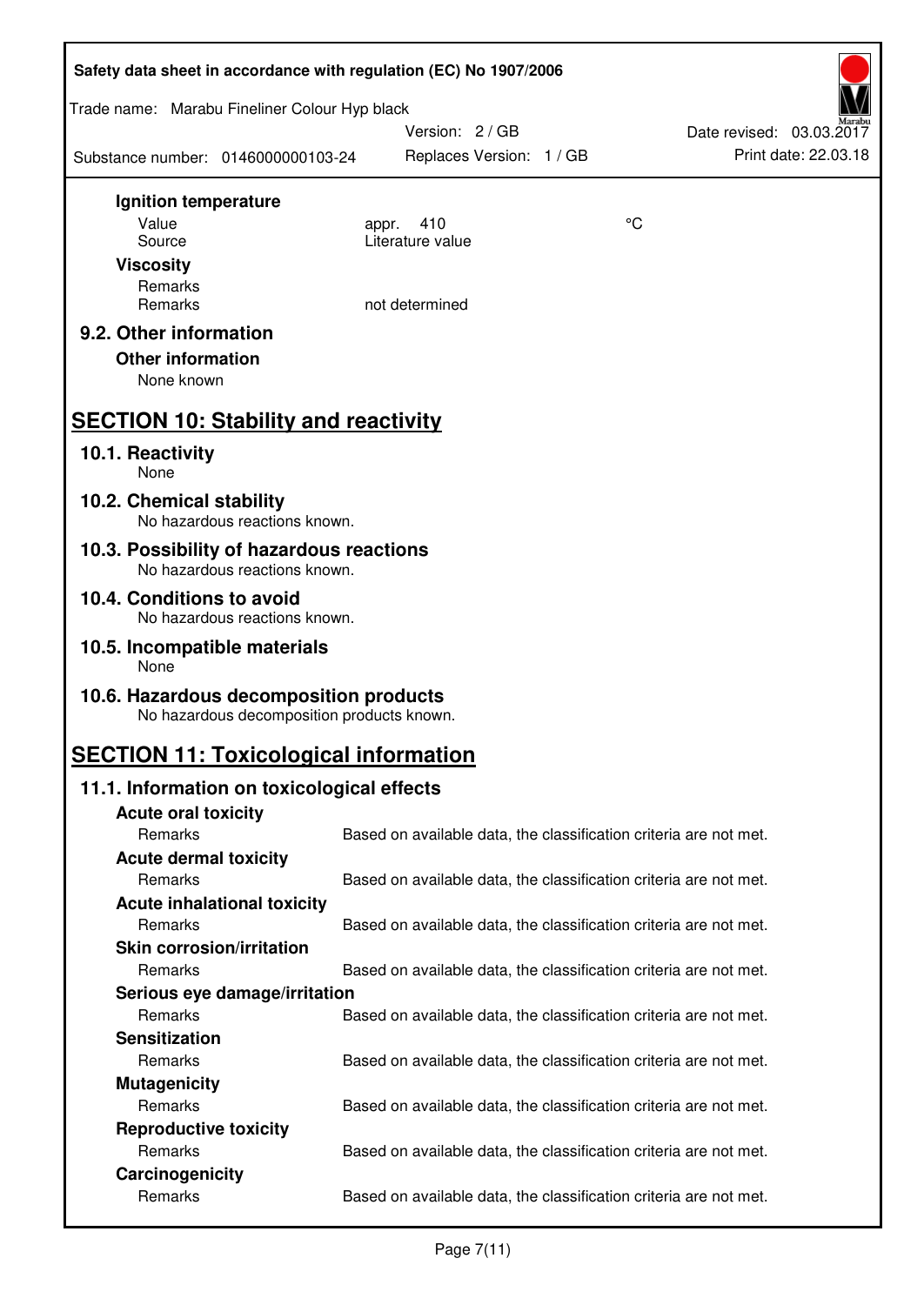| Safety data sheet in accordance with regulation (EC) No 1907/2006                    |                                                                   |    |                          |
|--------------------------------------------------------------------------------------|-------------------------------------------------------------------|----|--------------------------|
| Trade name: Marabu Fineliner Colour Hyp black                                        |                                                                   |    |                          |
|                                                                                      | Version: 2 / GB                                                   |    | Date revised: 03.03.2017 |
| Substance number: 0146000000103-24                                                   | Replaces Version: 1 / GB                                          |    | Print date: 22.03.18     |
| Ignition temperature                                                                 |                                                                   |    |                          |
| Value                                                                                | 410<br>appr.                                                      | °C |                          |
| Source                                                                               | Literature value                                                  |    |                          |
| <b>Viscosity</b>                                                                     |                                                                   |    |                          |
| Remarks<br>Remarks                                                                   | not determined                                                    |    |                          |
|                                                                                      |                                                                   |    |                          |
| 9.2. Other information<br><b>Other information</b>                                   |                                                                   |    |                          |
| None known                                                                           |                                                                   |    |                          |
| <b>SECTION 10: Stability and reactivity</b>                                          |                                                                   |    |                          |
| 10.1. Reactivity<br>None                                                             |                                                                   |    |                          |
| 10.2. Chemical stability<br>No hazardous reactions known.                            |                                                                   |    |                          |
| 10.3. Possibility of hazardous reactions<br>No hazardous reactions known.            |                                                                   |    |                          |
| 10.4. Conditions to avoid                                                            |                                                                   |    |                          |
| No hazardous reactions known.                                                        |                                                                   |    |                          |
| 10.5. Incompatible materials<br>None                                                 |                                                                   |    |                          |
| 10.6. Hazardous decomposition products<br>No hazardous decomposition products known. |                                                                   |    |                          |
| <b>SECTION 11: Toxicological information</b>                                         |                                                                   |    |                          |
| 11.1. Information on toxicological effects                                           |                                                                   |    |                          |
| <b>Acute oral toxicity</b>                                                           |                                                                   |    |                          |
| Remarks                                                                              | Based on available data, the classification criteria are not met. |    |                          |
| <b>Acute dermal toxicity</b>                                                         |                                                                   |    |                          |
| Remarks                                                                              | Based on available data, the classification criteria are not met. |    |                          |
| <b>Acute inhalational toxicity</b>                                                   |                                                                   |    |                          |
| Remarks                                                                              | Based on available data, the classification criteria are not met. |    |                          |
| <b>Skin corrosion/irritation</b>                                                     |                                                                   |    |                          |
| Remarks                                                                              | Based on available data, the classification criteria are not met. |    |                          |
| Serious eye damage/irritation                                                        |                                                                   |    |                          |
| Remarks                                                                              | Based on available data, the classification criteria are not met. |    |                          |
| <b>Sensitization</b>                                                                 |                                                                   |    |                          |
| Remarks                                                                              | Based on available data, the classification criteria are not met. |    |                          |
| <b>Mutagenicity</b><br>Remarks                                                       |                                                                   |    |                          |
|                                                                                      | Based on available data, the classification criteria are not met. |    |                          |
| <b>Reproductive toxicity</b><br>Remarks                                              | Based on available data, the classification criteria are not met. |    |                          |
| Carcinogenicity                                                                      |                                                                   |    |                          |
| Remarks                                                                              | Based on available data, the classification criteria are not met. |    |                          |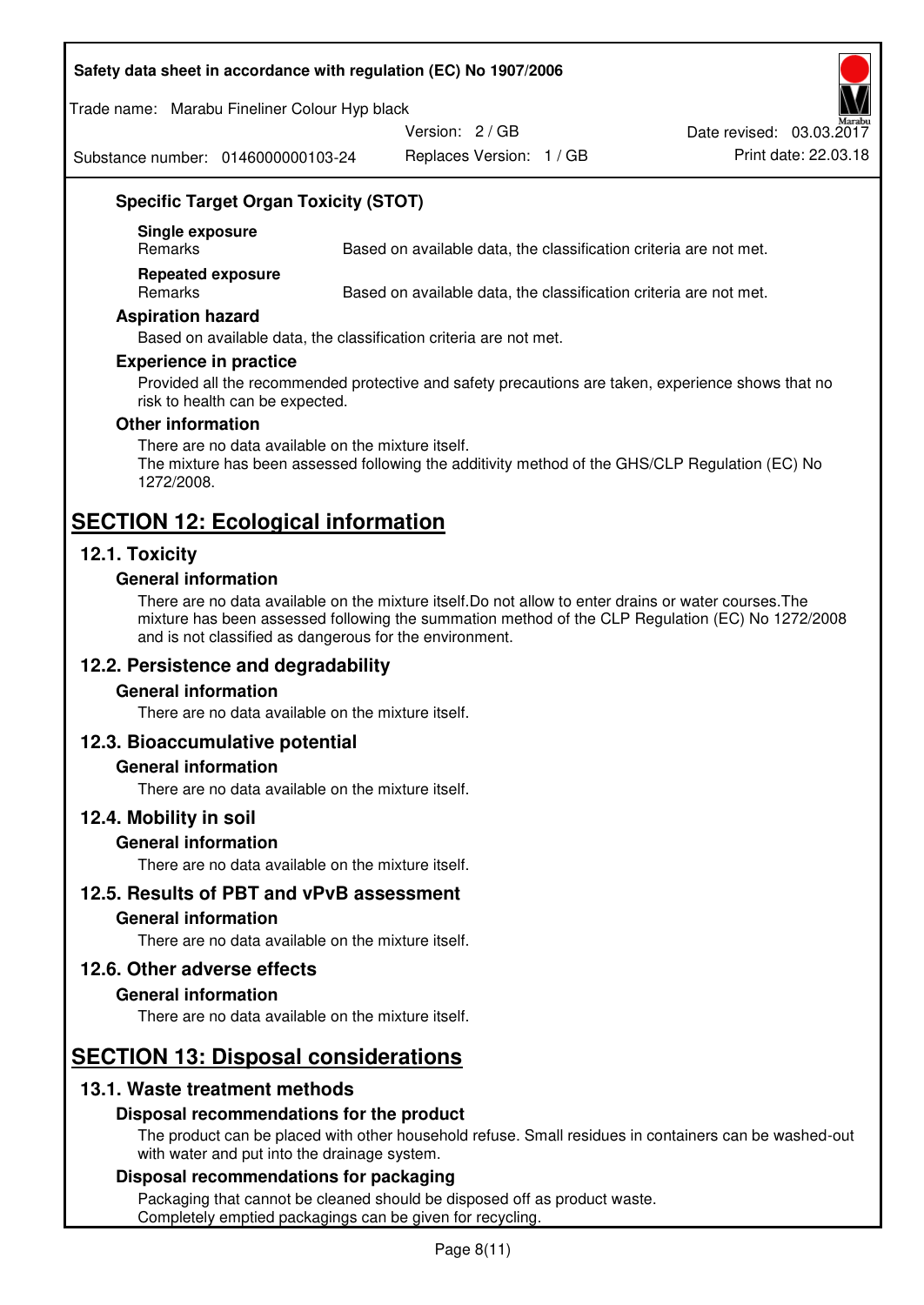#### **Safety data sheet in accordance with regulation (EC) No 1907/2006**

Trade name: Marabu Fineliner Colour Hyp black

Version: 2 / GB

Date revised: 03.03.2017

Substance number: 0146000000103-24

Replaces Version: 1 / GB Print date: 22.03.18

## **Specific Target Organ Toxicity (STOT)**

**Single exposure** 

Based on available data, the classification criteria are not met.

**Repeated exposure** 

Remarks Based on available data, the classification criteria are not met.

#### **Aspiration hazard**

Based on available data, the classification criteria are not met.

#### **Experience in practice**

Provided all the recommended protective and safety precautions are taken, experience shows that no risk to health can be expected.

#### **Other information**

There are no data available on the mixture itself. The mixture has been assessed following the additivity method of the GHS/CLP Regulation (EC) No 1272/2008.

## **SECTION 12: Ecological information**

#### **12.1. Toxicity**

#### **General information**

There are no data available on the mixture itself.Do not allow to enter drains or water courses.The mixture has been assessed following the summation method of the CLP Regulation (EC) No 1272/2008 and is not classified as dangerous for the environment.

#### **12.2. Persistence and degradability**

#### **General information**

There are no data available on the mixture itself.

#### **12.3. Bioaccumulative potential**

#### **General information**

There are no data available on the mixture itself.

#### **12.4. Mobility in soil**

#### **General information**

There are no data available on the mixture itself.

**12.5. Results of PBT and vPvB assessment** 

#### **General information**

There are no data available on the mixture itself.

#### **12.6. Other adverse effects**

#### **General information**

There are no data available on the mixture itself.

# **SECTION 13: Disposal considerations**

#### **13.1. Waste treatment methods**

#### **Disposal recommendations for the product**

The product can be placed with other household refuse. Small residues in containers can be washed-out with water and put into the drainage system.

#### **Disposal recommendations for packaging**

Packaging that cannot be cleaned should be disposed off as product waste. Completely emptied packagings can be given for recycling.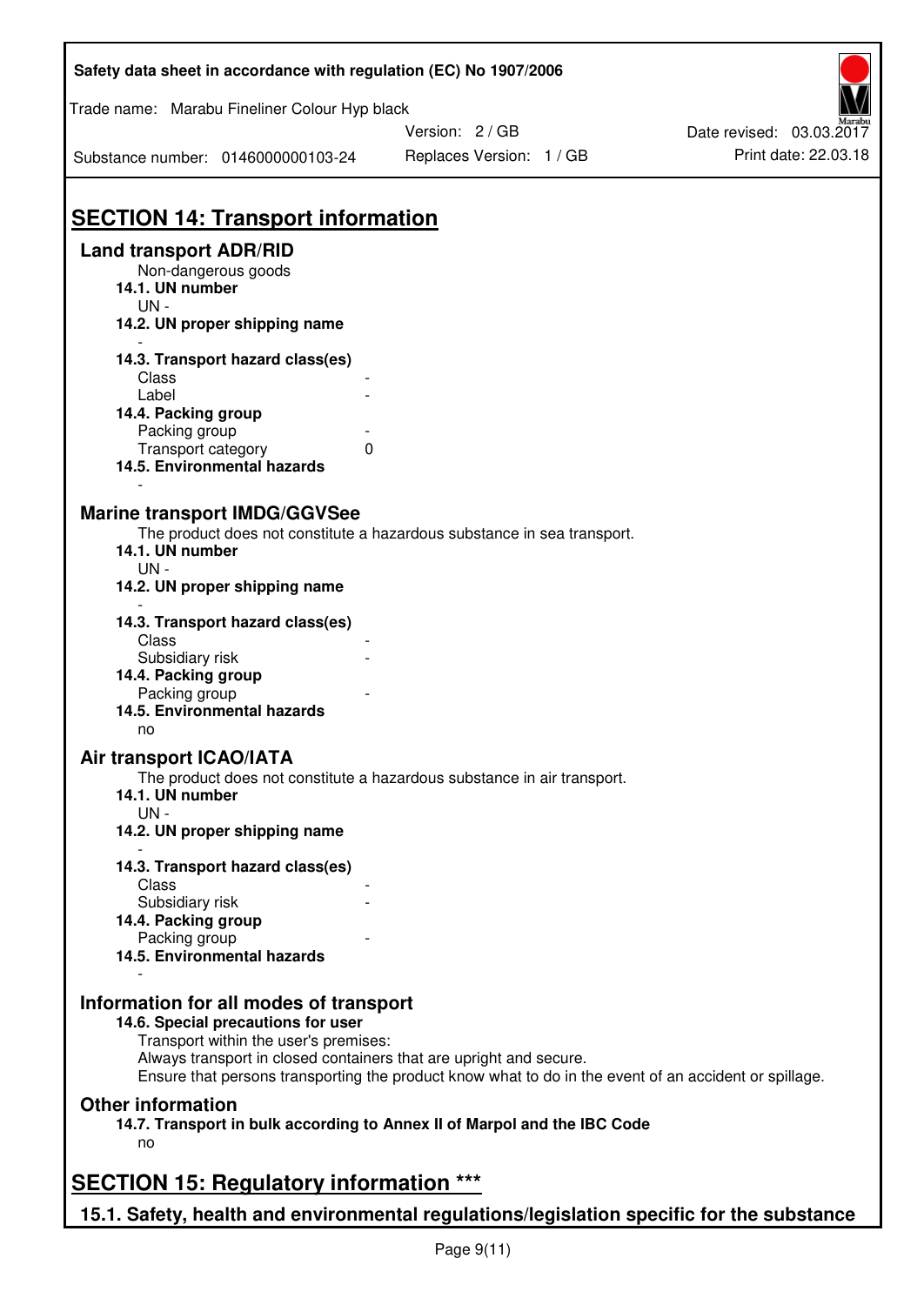| Safety data sheet in accordance with regulation (EC) No 1907/2006                                                                               |                                                                                                                                                                             |                          |  |  |  |
|-------------------------------------------------------------------------------------------------------------------------------------------------|-----------------------------------------------------------------------------------------------------------------------------------------------------------------------------|--------------------------|--|--|--|
| Trade name: Marabu Fineliner Colour Hyp black                                                                                                   |                                                                                                                                                                             |                          |  |  |  |
|                                                                                                                                                 | Version: 2/GB                                                                                                                                                               | Date revised: 03.03.2017 |  |  |  |
| Substance number: 0146000000103-24                                                                                                              | Replaces Version: 1 / GB                                                                                                                                                    | Print date: 22.03.18     |  |  |  |
| <b>SECTION 14: Transport information</b><br><b>Land transport ADR/RID</b>                                                                       |                                                                                                                                                                             |                          |  |  |  |
| Non-dangerous goods<br>14.1. UN number<br>UN-                                                                                                   |                                                                                                                                                                             |                          |  |  |  |
| 14.2. UN proper shipping name                                                                                                                   |                                                                                                                                                                             |                          |  |  |  |
| 14.3. Transport hazard class(es)<br>Class<br>Label<br>14.4. Packing group<br>Packing group<br>Transport category<br>14.5. Environmental hazards | $\Omega$                                                                                                                                                                    |                          |  |  |  |
| <b>Marine transport IMDG/GGVSee</b><br>14.1. UN number<br>UN-<br>14.2. UN proper shipping name                                                  | The product does not constitute a hazardous substance in sea transport.                                                                                                     |                          |  |  |  |
| 14.3. Transport hazard class(es)<br>Class<br>Subsidiary risk<br>14.4. Packing group<br>Packing group<br>14.5. Environmental hazards             |                                                                                                                                                                             |                          |  |  |  |
| no<br>Air transport ICAO/IATA<br>14.1. UN number<br>$UN -$<br>14.2. UN proper shipping name                                                     | The product does not constitute a hazardous substance in air transport.                                                                                                     |                          |  |  |  |
|                                                                                                                                                 |                                                                                                                                                                             |                          |  |  |  |
| 14.3. Transport hazard class(es)<br>Class                                                                                                       |                                                                                                                                                                             |                          |  |  |  |
| Subsidiary risk<br>14.4. Packing group<br>Packing group                                                                                         |                                                                                                                                                                             |                          |  |  |  |
| 14.5. Environmental hazards                                                                                                                     |                                                                                                                                                                             |                          |  |  |  |
| Information for all modes of transport<br>14.6. Special precautions for user<br>Transport within the user's premises:                           | Always transport in closed containers that are upright and secure.<br>Ensure that persons transporting the product know what to do in the event of an accident or spillage. |                          |  |  |  |
| <b>Other information</b><br>no                                                                                                                  | 14.7. Transport in bulk according to Annex II of Marpol and the IBC Code                                                                                                    |                          |  |  |  |
| <b>SECTION 15: Regulatory information ***</b>                                                                                                   |                                                                                                                                                                             |                          |  |  |  |
|                                                                                                                                                 | 15.1. Safety, health and environmental regulations/legislation specific for the substance                                                                                   |                          |  |  |  |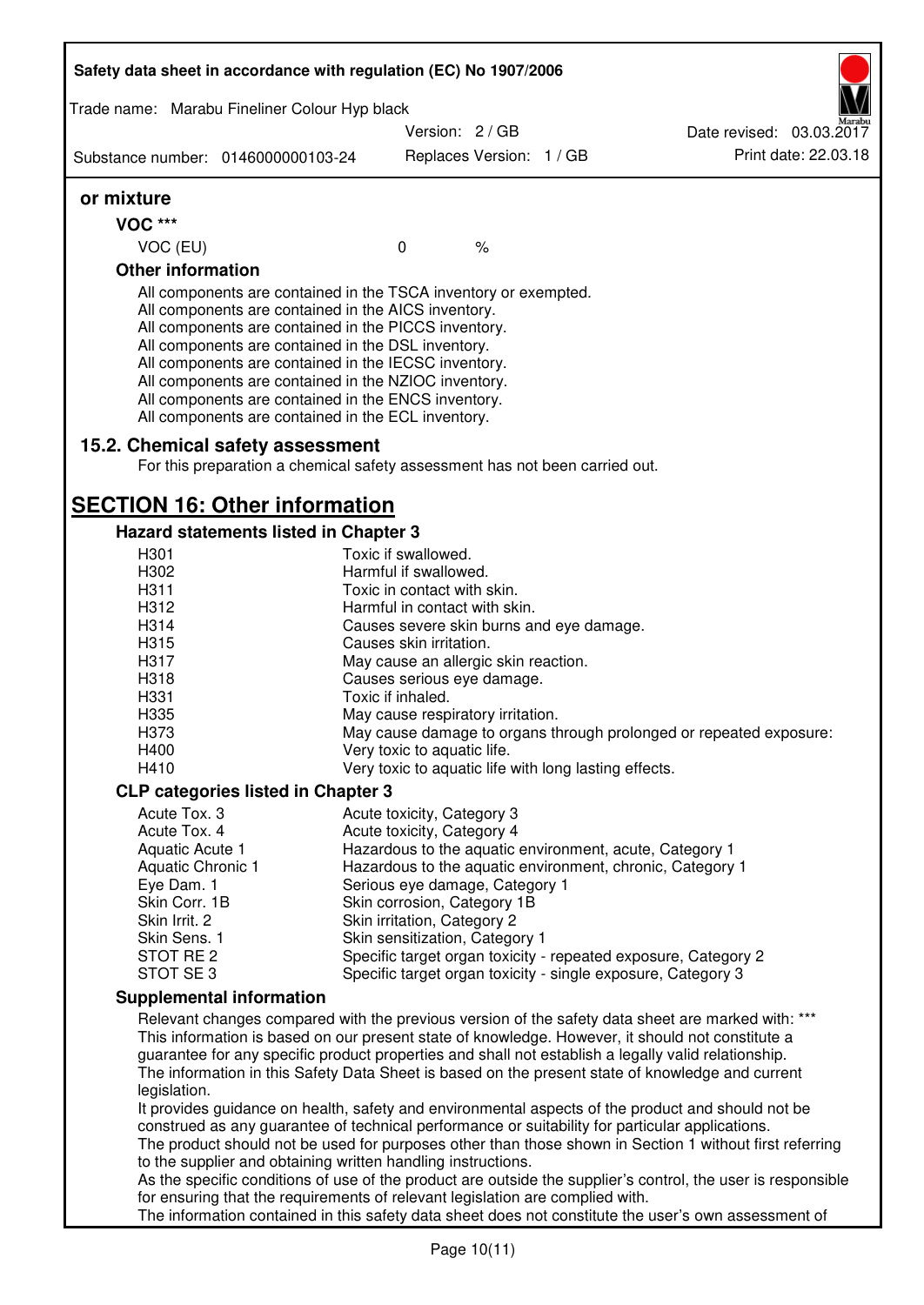| Safety data sheet in accordance with regulation (EC) No 1907/2006                                                                                                                                                                                                                                                                                                                                                                                                 |                                                                     |                                                          |               |                                                       |                                                                                                                                                                                                                                                                                                                                                                                                                                                                                                                       |  |  |
|-------------------------------------------------------------------------------------------------------------------------------------------------------------------------------------------------------------------------------------------------------------------------------------------------------------------------------------------------------------------------------------------------------------------------------------------------------------------|---------------------------------------------------------------------|----------------------------------------------------------|---------------|-------------------------------------------------------|-----------------------------------------------------------------------------------------------------------------------------------------------------------------------------------------------------------------------------------------------------------------------------------------------------------------------------------------------------------------------------------------------------------------------------------------------------------------------------------------------------------------------|--|--|
| Trade name: Marabu Fineliner Colour Hyp black                                                                                                                                                                                                                                                                                                                                                                                                                     |                                                                     |                                                          |               |                                                       |                                                                                                                                                                                                                                                                                                                                                                                                                                                                                                                       |  |  |
|                                                                                                                                                                                                                                                                                                                                                                                                                                                                   |                                                                     | Version: 2 / GB                                          |               |                                                       | Date revised: 03.03.2017                                                                                                                                                                                                                                                                                                                                                                                                                                                                                              |  |  |
| Substance number: 0146000000103-24                                                                                                                                                                                                                                                                                                                                                                                                                                |                                                                     | Replaces Version: 1 / GB                                 |               |                                                       | Print date: 22.03.18                                                                                                                                                                                                                                                                                                                                                                                                                                                                                                  |  |  |
| or mixture                                                                                                                                                                                                                                                                                                                                                                                                                                                        |                                                                     |                                                          |               |                                                       |                                                                                                                                                                                                                                                                                                                                                                                                                                                                                                                       |  |  |
| <b>VOC ***</b>                                                                                                                                                                                                                                                                                                                                                                                                                                                    |                                                                     |                                                          |               |                                                       |                                                                                                                                                                                                                                                                                                                                                                                                                                                                                                                       |  |  |
| VOC (EU)                                                                                                                                                                                                                                                                                                                                                                                                                                                          | $\mathbf 0$                                                         |                                                          | $\frac{1}{2}$ |                                                       |                                                                                                                                                                                                                                                                                                                                                                                                                                                                                                                       |  |  |
| <b>Other information</b>                                                                                                                                                                                                                                                                                                                                                                                                                                          |                                                                     |                                                          |               |                                                       |                                                                                                                                                                                                                                                                                                                                                                                                                                                                                                                       |  |  |
| All components are contained in the TSCA inventory or exempted.<br>All components are contained in the AICS inventory.<br>All components are contained in the PICCS inventory.<br>All components are contained in the DSL inventory.<br>All components are contained in the IECSC inventory.<br>All components are contained in the NZIOC inventory.<br>All components are contained in the ENCS inventory.<br>All components are contained in the ECL inventory. |                                                                     |                                                          |               |                                                       |                                                                                                                                                                                                                                                                                                                                                                                                                                                                                                                       |  |  |
| 15.2. Chemical safety assessment<br>For this preparation a chemical safety assessment has not been carried out.                                                                                                                                                                                                                                                                                                                                                   |                                                                     |                                                          |               |                                                       |                                                                                                                                                                                                                                                                                                                                                                                                                                                                                                                       |  |  |
| <b>SECTION 16: Other information</b>                                                                                                                                                                                                                                                                                                                                                                                                                              |                                                                     |                                                          |               |                                                       |                                                                                                                                                                                                                                                                                                                                                                                                                                                                                                                       |  |  |
| Hazard statements listed in Chapter 3                                                                                                                                                                                                                                                                                                                                                                                                                             |                                                                     |                                                          |               |                                                       |                                                                                                                                                                                                                                                                                                                                                                                                                                                                                                                       |  |  |
| H301                                                                                                                                                                                                                                                                                                                                                                                                                                                              |                                                                     | Toxic if swallowed.                                      |               |                                                       |                                                                                                                                                                                                                                                                                                                                                                                                                                                                                                                       |  |  |
| H302                                                                                                                                                                                                                                                                                                                                                                                                                                                              |                                                                     | Harmful if swallowed.                                    |               |                                                       |                                                                                                                                                                                                                                                                                                                                                                                                                                                                                                                       |  |  |
| H311                                                                                                                                                                                                                                                                                                                                                                                                                                                              |                                                                     | Toxic in contact with skin.                              |               |                                                       |                                                                                                                                                                                                                                                                                                                                                                                                                                                                                                                       |  |  |
| H312                                                                                                                                                                                                                                                                                                                                                                                                                                                              |                                                                     | Harmful in contact with skin.                            |               |                                                       |                                                                                                                                                                                                                                                                                                                                                                                                                                                                                                                       |  |  |
| H314                                                                                                                                                                                                                                                                                                                                                                                                                                                              | Causes severe skin burns and eye damage.<br>Causes skin irritation. |                                                          |               |                                                       |                                                                                                                                                                                                                                                                                                                                                                                                                                                                                                                       |  |  |
| H315                                                                                                                                                                                                                                                                                                                                                                                                                                                              |                                                                     |                                                          |               |                                                       |                                                                                                                                                                                                                                                                                                                                                                                                                                                                                                                       |  |  |
| H317                                                                                                                                                                                                                                                                                                                                                                                                                                                              |                                                                     | May cause an allergic skin reaction.                     |               |                                                       |                                                                                                                                                                                                                                                                                                                                                                                                                                                                                                                       |  |  |
| H318                                                                                                                                                                                                                                                                                                                                                                                                                                                              |                                                                     | Causes serious eye damage.                               |               |                                                       |                                                                                                                                                                                                                                                                                                                                                                                                                                                                                                                       |  |  |
| H331                                                                                                                                                                                                                                                                                                                                                                                                                                                              | Toxic if inhaled.                                                   |                                                          |               |                                                       |                                                                                                                                                                                                                                                                                                                                                                                                                                                                                                                       |  |  |
| H335<br>H373                                                                                                                                                                                                                                                                                                                                                                                                                                                      |                                                                     | May cause respiratory irritation.                        |               |                                                       | May cause damage to organs through prolonged or repeated exposure:                                                                                                                                                                                                                                                                                                                                                                                                                                                    |  |  |
| H400                                                                                                                                                                                                                                                                                                                                                                                                                                                              |                                                                     | Very toxic to aquatic life.                              |               |                                                       |                                                                                                                                                                                                                                                                                                                                                                                                                                                                                                                       |  |  |
| H410                                                                                                                                                                                                                                                                                                                                                                                                                                                              |                                                                     |                                                          |               | Very toxic to aquatic life with long lasting effects. |                                                                                                                                                                                                                                                                                                                                                                                                                                                                                                                       |  |  |
| <b>CLP categories listed in Chapter 3</b>                                                                                                                                                                                                                                                                                                                                                                                                                         |                                                                     |                                                          |               |                                                       |                                                                                                                                                                                                                                                                                                                                                                                                                                                                                                                       |  |  |
| Acute Tox. 3                                                                                                                                                                                                                                                                                                                                                                                                                                                      |                                                                     |                                                          |               |                                                       |                                                                                                                                                                                                                                                                                                                                                                                                                                                                                                                       |  |  |
| Acute Tox. 4                                                                                                                                                                                                                                                                                                                                                                                                                                                      |                                                                     | Acute toxicity, Category 3<br>Acute toxicity, Category 4 |               |                                                       |                                                                                                                                                                                                                                                                                                                                                                                                                                                                                                                       |  |  |
| Aquatic Acute 1                                                                                                                                                                                                                                                                                                                                                                                                                                                   |                                                                     |                                                          |               |                                                       | Hazardous to the aquatic environment, acute, Category 1                                                                                                                                                                                                                                                                                                                                                                                                                                                               |  |  |
| Aquatic Chronic 1                                                                                                                                                                                                                                                                                                                                                                                                                                                 |                                                                     |                                                          |               |                                                       | Hazardous to the aquatic environment, chronic, Category 1                                                                                                                                                                                                                                                                                                                                                                                                                                                             |  |  |
| Eye Dam. 1                                                                                                                                                                                                                                                                                                                                                                                                                                                        |                                                                     | Serious eye damage, Category 1                           |               |                                                       |                                                                                                                                                                                                                                                                                                                                                                                                                                                                                                                       |  |  |
| Skin Corr. 1B                                                                                                                                                                                                                                                                                                                                                                                                                                                     |                                                                     | Skin corrosion, Category 1B                              |               |                                                       |                                                                                                                                                                                                                                                                                                                                                                                                                                                                                                                       |  |  |
| Skin Irrit. 2                                                                                                                                                                                                                                                                                                                                                                                                                                                     |                                                                     | Skin irritation, Category 2                              |               |                                                       |                                                                                                                                                                                                                                                                                                                                                                                                                                                                                                                       |  |  |
| Skin Sens. 1                                                                                                                                                                                                                                                                                                                                                                                                                                                      |                                                                     | Skin sensitization, Category 1                           |               |                                                       |                                                                                                                                                                                                                                                                                                                                                                                                                                                                                                                       |  |  |
| STOT RE 2                                                                                                                                                                                                                                                                                                                                                                                                                                                         |                                                                     |                                                          |               |                                                       | Specific target organ toxicity - repeated exposure, Category 2                                                                                                                                                                                                                                                                                                                                                                                                                                                        |  |  |
| STOT SE 3                                                                                                                                                                                                                                                                                                                                                                                                                                                         |                                                                     |                                                          |               |                                                       | Specific target organ toxicity - single exposure, Category 3                                                                                                                                                                                                                                                                                                                                                                                                                                                          |  |  |
| <b>Supplemental information</b>                                                                                                                                                                                                                                                                                                                                                                                                                                   |                                                                     |                                                          |               |                                                       |                                                                                                                                                                                                                                                                                                                                                                                                                                                                                                                       |  |  |
| legislation.<br>construed as any guarantee of technical performance or suitability for particular applications.                                                                                                                                                                                                                                                                                                                                                   |                                                                     |                                                          |               |                                                       | Relevant changes compared with the previous version of the safety data sheet are marked with: ***<br>This information is based on our present state of knowledge. However, it should not constitute a<br>guarantee for any specific product properties and shall not establish a legally valid relationship.<br>The information in this Safety Data Sheet is based on the present state of knowledge and current<br>It provides guidance on health, safety and environmental aspects of the product and should not be |  |  |
|                                                                                                                                                                                                                                                                                                                                                                                                                                                                   |                                                                     |                                                          |               |                                                       | The product should not be used for purposes other than those shown in Section 1 without first referring                                                                                                                                                                                                                                                                                                                                                                                                               |  |  |
| to the supplier and obtaining written handling instructions.                                                                                                                                                                                                                                                                                                                                                                                                      |                                                                     |                                                          |               |                                                       |                                                                                                                                                                                                                                                                                                                                                                                                                                                                                                                       |  |  |
| for ensuring that the requirements of relevant legislation are complied with.                                                                                                                                                                                                                                                                                                                                                                                     |                                                                     |                                                          |               |                                                       | As the specific conditions of use of the product are outside the supplier's control, the user is responsible                                                                                                                                                                                                                                                                                                                                                                                                          |  |  |
|                                                                                                                                                                                                                                                                                                                                                                                                                                                                   |                                                                     |                                                          |               |                                                       | The information contained in this safety data sheet does not constitute the user's own assessment of                                                                                                                                                                                                                                                                                                                                                                                                                  |  |  |